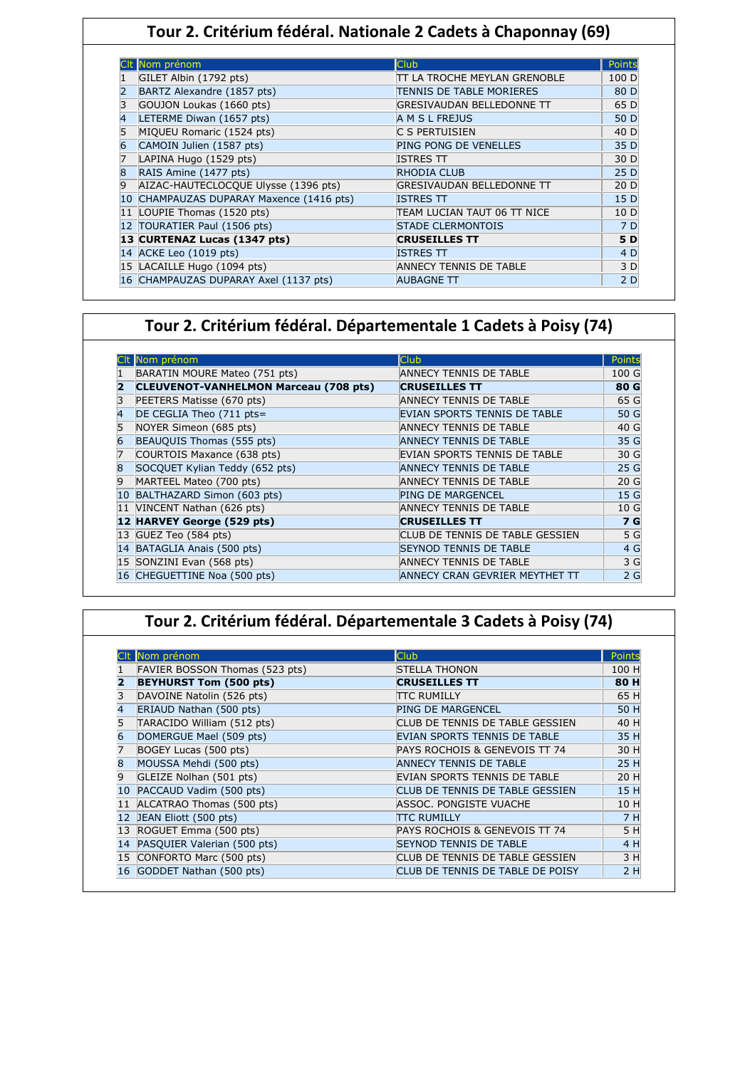#### **Tour 2. Critérium fédéral. Nationale 2 Cadets à Chaponnay (69)**

|   | CIt Nom prénom                        | Club                         | Points |
|---|---------------------------------------|------------------------------|--------|
|   | GILET Albin (1792 pts)                | TT LA TROCHE MEYLAN GRENOBLE | 100 D  |
|   | BARTZ Alexandre (1857 pts)            | TENNIS DE TABLE MORIERES     | 80 D   |
|   | GOUJON Loukas (1660 pts)              | GRESIVAUDAN BELLEDONNE TT    | 65 D   |
|   | LETERME Diwan (1657 pts)              | A M S L FREJUS               | 50 D   |
|   | MIQUEU Romaric (1524 pts)             | C S PERTUISIEN               | 40 D   |
| 6 | CAMOIN Julien (1587 pts)              | PING PONG DE VENELLES        | 35 D   |
|   | LAPINA Hugo (1529 pts)                | ISTRES TT                    | 30 D   |
| 8 | RAIS Amine (1477 pts)                 | <b>RHODIA CLUB</b>           | 25 D   |
| 9 | AIZAC-HAUTECLOCQUE Ulysse (1396 pts)  | GRESIVAUDAN BELLEDONNE TT    | 20 D   |
|   | CHAMPAUZAS DUPARAY Maxence (1416 pts) | <b>ISTRES TT</b>             | 15 D   |
|   | 11 LOUPIE Thomas (1520 pts)           | TEAM LUCIAN TAUT 06 TT NICE  | 10 D   |
|   | 12 TOURATIER Paul (1506 pts)          | <b>STADE CLERMONTOIS</b>     | 7 D    |
|   | 13 CURTENAZ Lucas (1347 pts)          | <b>CRUSEILLES TT</b>         | 5 D    |
|   | 14 ACKE Leo (1019 pts)                | <b>ISTRES TT</b>             | 4 D    |
|   | 15 LACAILLE Hugo (1094 pts)           | ANNECY TENNIS DE TABLE       | 3 D    |
|   | 16 CHAMPAUZAS DUPARAY Axel (1137 pts) | <b>AUBAGNE TT</b>            | 2D     |

#### **Tour 2. Critérium fédéral. Départementale 1 Cadets à Poisy (74)**

|    | Nom prénom                                   | Club                            | Points          |
|----|----------------------------------------------|---------------------------------|-----------------|
|    | BARATIN MOURE Mateo (751 pts)                | <b>ANNECY TENNIS DE TABLE</b>   | 100 G           |
|    | <b>CLEUVENOT-VANHELMON Marceau (708 pts)</b> | <b>CRUSEILLES TT</b>            | 80 G            |
|    | PEETERS Matisse (670 pts)                    | <b>ANNECY TENNIS DE TABLE</b>   | 65 G            |
| 4  | DE CEGLIA Theo (711 pts=                     | EVIAN SPORTS TENNIS DE TABLE    | 50 G            |
|    | NOYER Simeon (685 pts)                       | <b>ANNECY TENNIS DE TABLE</b>   | 40 G            |
|    | BEAUQUIS Thomas (555 pts)                    | <b>ANNECY TENNIS DE TABLE</b>   | 35 G            |
|    | COURTOIS Maxance (638 pts)                   | EVIAN SPORTS TENNIS DE TABLE    | 30 G            |
|    | SOCQUET Kylian Teddy (652 pts)               | <b>ANNECY TENNIS DE TABLE</b>   | 25 G            |
| 9  | MARTEEL Mateo (700 pts)                      | <b>ANNECY TENNIS DE TABLE</b>   | 20 <sub>G</sub> |
| 10 | BALTHAZARD Simon (603 pts)                   | <b>PING DE MARGENCEL</b>        | 15 <sub>G</sub> |
|    | 11 VINCENT Nathan (626 pts)                  | <b>ANNECY TENNIS DE TABLE</b>   | 10 G            |
|    | 12 HARVEY George (529 pts)                   | <b>CRUSEILLES TT</b>            | 7 G             |
|    | 13 GUEZ Teo (584 pts)                        | CLUB DE TENNIS DE TABLE GESSIEN | 5 G             |
|    | 14 BATAGLIA Anais (500 pts)                  | <b>SEYNOD TENNIS DE TABLE</b>   | 4 G             |
|    | 15 SONZINI Evan (568 pts)                    | <b>ANNECY TENNIS DE TABLE</b>   | 3 G             |
|    | 16 CHEGUETTINE Noa (500 pts)                 | ANNECY CRAN GEVRIER MEYTHET TT  | 2 G             |

# **Tour 2. Critérium fédéral. Départementale 3 Cadets à Poisy (74)**

|    | Nom prénom                     | Club                                | Points |
|----|--------------------------------|-------------------------------------|--------|
|    | FAVIER BOSSON Thomas (523 pts) | <b>STELLA THONON</b>                | 100 H  |
| 2  | <b>BEYHURST Tom (500 pts)</b>  | <b>CRUSEILLES TT</b>                | 80 H   |
| 3  | DAVOINE Natolin (526 pts)      | <b>TTC RUMILLY</b>                  | 65 H   |
| 4  | ERIAUD Nathan (500 pts)        | <b>PING DE MARGENCEL</b>            | 50 H   |
| 5  | TARACIDO William (512 pts)     | CLUB DE TENNIS DE TABLE GESSIEN     | 40 H   |
| 6  | DOMERGUE Mael (509 pts)        | <b>EVIAN SPORTS TENNIS DE TABLE</b> | 35 H   |
| 7  | BOGEY Lucas (500 pts)          | PAYS ROCHOIS & GENEVOIS TT 74       | 30 H   |
| 8  | MOUSSA Mehdi (500 pts)         | <b>ANNECY TENNIS DE TABLE</b>       | 25 H   |
| 9  | GLEIZE Nolhan (501 pts)        | EVIAN SPORTS TENNIS DE TABLE        | 20 H   |
| 10 | PACCAUD Vadim (500 pts)        | CLUB DE TENNIS DE TABLE GESSIEN     | 15 H   |
| 11 | ALCATRAO Thomas (500 pts)      | ASSOC. PONGISTE VUACHE              | 10 H   |
| 12 | JEAN Eliott (500 pts)          | <b>TTC RUMILLY</b>                  | 7 H    |
| 13 | ROGUET Emma (500 pts)          | PAYS ROCHOIS & GENEVOIS TT 74       | 5H     |
| 14 | PASQUIER Valerian (500 pts)    | <b>SEYNOD TENNIS DE TABLE</b>       | 4 H    |
| 15 | CONFORTO Marc (500 pts)        | CLUB DE TENNIS DE TABLE GESSIEN     | 3 H    |
|    | 16 GODDET Nathan (500 pts)     | CLUB DE TENNIS DE TABLE DE POISY    | 2H     |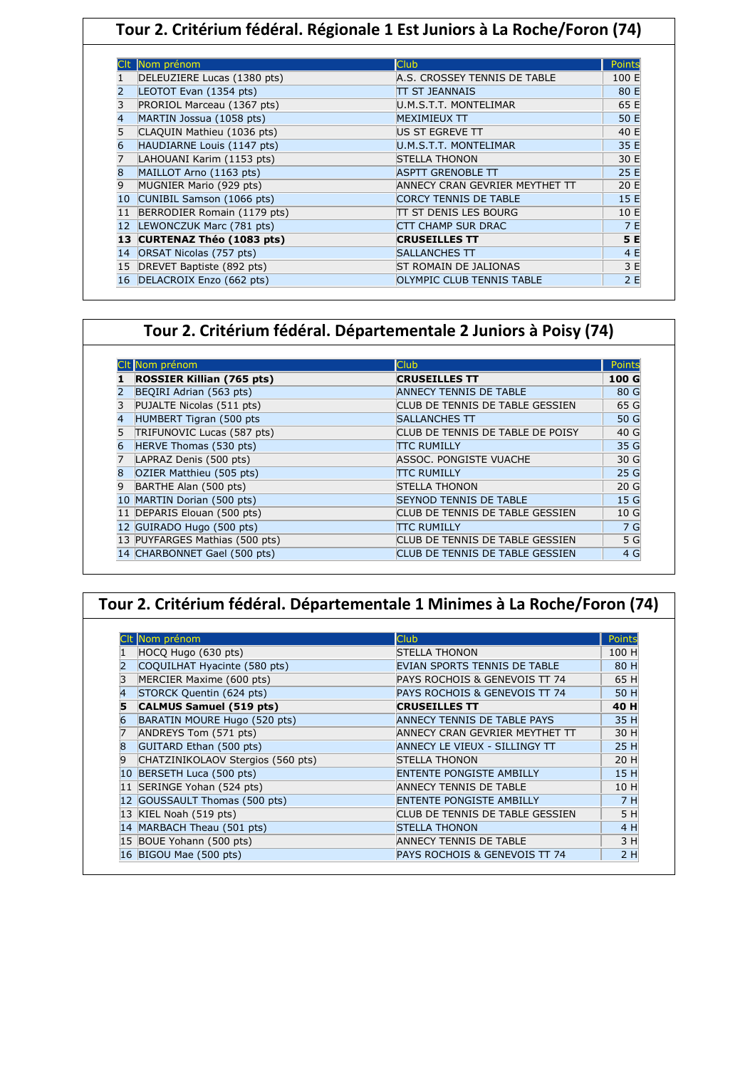|    | Tour 2. Critérium fédéral. Régionale 1 Est Juniors à La Roche/Foron (74) |                                  |               |  |  |
|----|--------------------------------------------------------------------------|----------------------------------|---------------|--|--|
|    |                                                                          |                                  |               |  |  |
|    | Nom prénom                                                               | <b>Club</b>                      | <b>Points</b> |  |  |
|    | DELEUZIERE Lucas (1380 pts)                                              | A.S. CROSSEY TENNIS DE TABLE     | 100 E         |  |  |
|    | LEOTOT Evan (1354 pts)                                                   | TT ST JEANNAIS                   | 80 E          |  |  |
|    | PRORIOL Marceau (1367 pts)                                               | U.M.S.T.T. MONTELIMAR            | 65 E          |  |  |
| 4  | MARTIN Jossua (1058 pts)                                                 | <b>MEXIMIEUX TT</b>              | 50 E          |  |  |
| 5  | CLAQUIN Mathieu (1036 pts)                                               | US ST EGREVE TT                  | 40 E          |  |  |
| 6  | HAUDIARNE Louis (1147 pts)                                               | U.M.S.T.T. MONTELIMAR            | 35 E          |  |  |
|    | LAHOUANI Karim (1153 pts)                                                | <b>STELLA THONON</b>             | 30 E          |  |  |
| 8  | MAILLOT Arno (1163 pts)                                                  | <b>ASPTT GRENOBLE TT</b>         | 25 E          |  |  |
| 9  | MUGNIER Mario (929 pts)                                                  | ANNECY CRAN GEVRIER MEYTHET TT   | 20 E          |  |  |
| 10 | CUNIBIL Samson (1066 pts)                                                | <b>CORCY TENNIS DE TABLE</b>     | 15 E          |  |  |
| 11 | BERRODIER Romain (1179 pts)                                              | TT ST DENIS LES BOURG            | 10 E          |  |  |
| 12 | LEWONCZUK Marc (781 pts)                                                 | <b>CTT CHAMP SUR DRAC</b>        | 7 E           |  |  |
|    | 13 CURTENAZ Théo (1083 pts)                                              | <b>CRUSEILLES TT</b>             | 5 E           |  |  |
| 14 | ORSAT Nicolas (757 pts)                                                  | <b>SALLANCHES TT</b>             | 4 E           |  |  |
| 15 | DREVET Baptiste (892 pts)                                                | <b>ST ROMAIN DE JALIONAS</b>     | 3 E           |  |  |
| 16 | DELACROIX Enzo (662 pts)                                                 | <b>OLYMPIC CLUB TENNIS TABLE</b> | 2E            |  |  |

# **Tour 2. Critérium fédéral. Départementale 2 Juniors à Poisy (74)**

|   | Nom prénom                       | <b>Club</b>                      | Points          |
|---|----------------------------------|----------------------------------|-----------------|
|   | <b>ROSSIER Killian (765 pts)</b> | <b>CRUSEILLES TT</b>             | 100 G           |
|   | BEQIRI Adrian (563 pts)          | <b>ANNECY TENNIS DE TABLE</b>    | 80 G            |
|   | PUJALTE Nicolas (511 pts)        | CLUB DE TENNIS DE TABLE GESSIEN  | 65 G            |
| 4 | <b>HUMBERT Tigran (500 pts)</b>  | <b>SALLANCHES TT</b>             | 50 G            |
| 5 | TRIFUNOVIC Lucas (587 pts)       | CLUB DE TENNIS DE TABLE DE POISY | 40 G            |
|   | HERVE Thomas (530 pts)           | <b>TTC RUMILLY</b>               | 35 G            |
|   | LAPRAZ Denis (500 pts)           | ASSOC. PONGISTE VUACHE           | 30 G            |
| 8 | OZIER Matthieu (505 pts)         | <b>TTC RUMILLY</b>               | 25 G            |
|   | BARTHE Alan (500 pts)            | <b>STELLA THONON</b>             | 20 <sub>G</sub> |
|   | 10 MARTIN Dorian (500 pts)       | <b>SEYNOD TENNIS DE TABLE</b>    | 15 G            |
|   | 11 DEPARIS Elouan (500 pts)      | CLUB DE TENNIS DE TABLE GESSIEN  | 10G             |
|   | 12 GUIRADO Hugo (500 pts)        | <b>TTC RUMILLY</b>               | 7 G             |
|   | 13 PUYFARGES Mathias (500 pts)   | CLUB DE TENNIS DE TABLE GESSIEN  | 5 G             |
|   | 14 CHARBONNET Gael (500 pts)     | CLUB DE TENNIS DE TABLE GESSIEN  | 4 G             |

|  |  | Tour 2. Critérium fédéral. Départementale 1 Minimes à La Roche/Foron (74) |  |
|--|--|---------------------------------------------------------------------------|--|
|  |  |                                                                           |  |

|    | Nom prénom                        | <b>Club</b>                     | Points |
|----|-----------------------------------|---------------------------------|--------|
|    | HOCQ Hugo (630 pts)               | <b>STELLA THONON</b>            | 100 H  |
|    | COQUILHAT Hyacinte (580 pts)      | EVIAN SPORTS TENNIS DE TABLE    | 80 H   |
|    | MERCIER Maxime (600 pts)          | PAYS ROCHOIS & GENEVOIS TT 74   | 65 H   |
| 4  | STORCK Quentin (624 pts)          | PAYS ROCHOIS & GENEVOIS TT 74   | 50 H   |
|    | <b>CALMUS Samuel (519 pts)</b>    | <b>CRUSEILLES TT</b>            | 40 H   |
| 6  | BARATIN MOURE Hugo (520 pts)      | ANNECY TENNIS DE TABLE PAYS     | 35 H   |
|    | ANDREYS Tom (571 pts)             | ANNECY CRAN GEVRIER MEYTHET TT  | 30 H   |
| 8  | GUITARD Ethan (500 pts)           | ANNECY LE VIEUX - SILLINGY TT   | 25 H   |
| 9  | CHATZINIKOLAOV Stergios (560 pts) | <b>STELLA THONON</b>            | 20 H   |
| 10 | BERSETH Luca (500 pts)            | <b>ENTENTE PONGISTE AMBILLY</b> | 15 H   |
|    | SERINGE Yohan (524 pts)           | <b>ANNECY TENNIS DE TABLE</b>   | 10 H   |
|    | 12 GOUSSAULT Thomas (500 pts)     | <b>ENTENTE PONGISTE AMBILLY</b> | 7 H    |
|    | 13 KIEL Noah (519 pts)            | CLUB DE TENNIS DE TABLE GESSIEN | 5 H    |
|    | 14 MARBACH Theau (501 pts)        | <b>STELLA THONON</b>            | 4 H    |
|    | 15 BOUE Yohann (500 pts)          | <b>ANNECY TENNIS DE TABLE</b>   | 3H     |
|    | 16 BIGOU Mae (500 pts)            | PAYS ROCHOIS & GENEVOIS TT 74   | 2H     |

Ι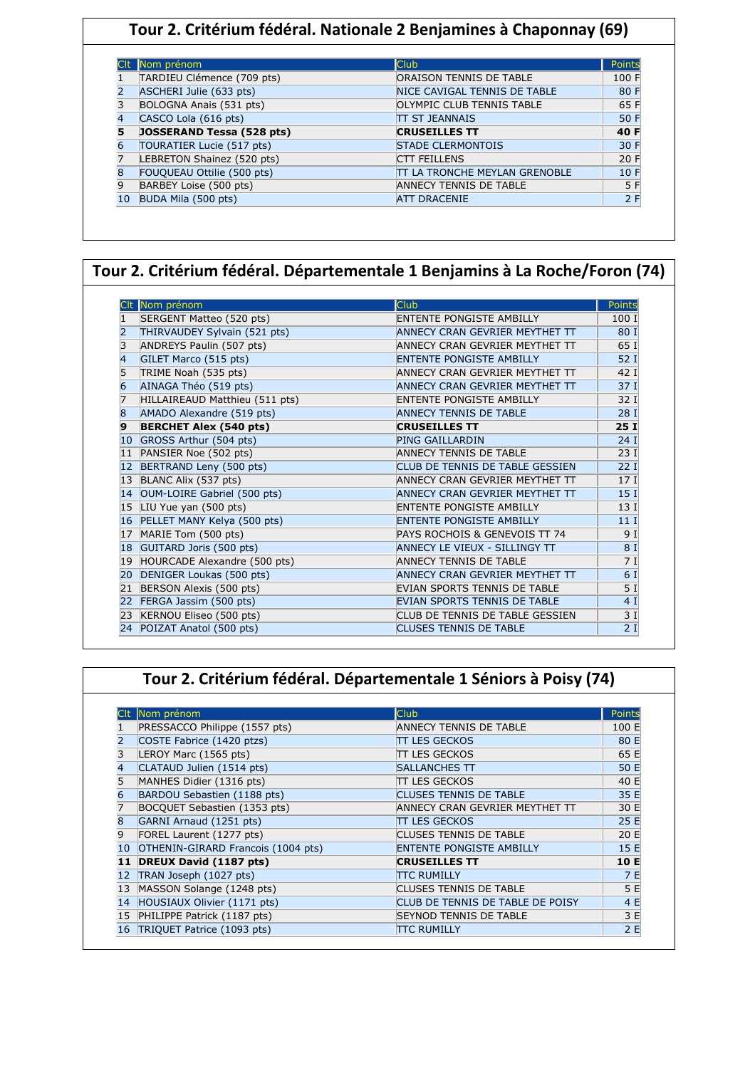# **Tour 2. Critérium fédéral. Nationale 2 Benjamines à Chaponnay (69)**

|            | Nom prénom                 | <b>Club</b>                          | Points |
|------------|----------------------------|--------------------------------------|--------|
|            | TARDIEU Clémence (709 pts) | ORAISON TENNIS DE TABLE              | 100 F  |
|            | ASCHERI Julie (633 pts)    | NICE CAVIGAL TENNIS DE TABLE         | 80 F   |
|            | BOLOGNA Anais (531 pts)    | <b>OLYMPIC CLUB TENNIS TABLE</b>     | 65 F   |
|            | CASCO Lola (616 pts)       | <b>ITT ST JEANNAIS</b>               | 50 F   |
|            | JOSSERAND Tessa (528 pts)  | <b>CRUSEILLES TT</b>                 | 40 F   |
| $\sqrt{6}$ | TOURATIER Lucie (517 pts)  | <b>STADE CLERMONTOIS</b>             | 30 F   |
|            | LEBRETON Shainez (520 pts) | <b>CTT FEILLENS</b>                  | 20 F   |
| R          | FOUQUEAU Ottilie (500 pts) | <b>TT LA TRONCHE MEYLAN GRENOBLE</b> | 10     |
| 9          | BARBEY Loise (500 pts)     | <b>ANNECY TENNIS DE TABLE</b>        | 5 F    |
| 10         | BUDA Mila (500 pts)        | <b>ATT DRACENIE</b>                  | 2F     |

#### **Tour 2. Critérium fédéral. Départementale 1 Benjamins à La Roche/Foron (74)**

|              | Nom prénom                     | Club                                | <b>Points</b>   |
|--------------|--------------------------------|-------------------------------------|-----------------|
|              | SERGENT Matteo (520 pts)       | <b>ENTENTE PONGISTE AMBILLY</b>     | 100 I           |
| 2            | THIRVAUDEY Sylvain (521 pts)   | ANNECY CRAN GEVRIER MEYTHET TT      | 80 I            |
| 3            | ANDREYS Paulin (507 pts)       | ANNECY CRAN GEVRIER MEYTHET TT      | 65 I            |
| 4            | GILET Marco (515 pts)          | <b>ENTENTE PONGISTE AMBILLY</b>     | 52 I            |
| 5            | TRIME Noah (535 pts)           | ANNECY CRAN GEVRIER MEYTHET TT      | 42 I            |
| 6            | AINAGA Théo (519 pts)          | ANNECY CRAN GEVRIER MEYTHET TT      | 37 I            |
| 7            | HILLAIREAUD Matthieu (511 pts) | <b>ENTENTE PONGISTE AMBILLY</b>     | 32 I            |
| 8            | AMADO Alexandre (519 pts)      | <b>ANNECY TENNIS DE TABLE</b>       | 28 I            |
| 9            | <b>BERCHET Alex (540 pts)</b>  | <b>CRUSEILLES TT</b>                | 25I             |
| 10           | GROSS Arthur (504 pts)         | <b>PING GAILLARDIN</b>              | 24I             |
| 11           | PANSIER Noe (502 pts)          | ANNECY TENNIS DE TABLE              | 23I             |
| $ 12\rangle$ | BERTRAND Leny (500 pts)        | CLUB DE TENNIS DE TABLE GESSIEN     | 22I             |
| 13           | BLANC Alix (537 pts)           | ANNECY CRAN GEVRIER MEYTHET TT      | 17 <sub>I</sub> |
| 14           | OUM-LOIRE Gabriel (500 pts)    | ANNECY CRAN GEVRIER MEYTHET TT      | 15 <sub>1</sub> |
| 15           | LIU Yue yan (500 pts)          | <b>ENTENTE PONGISTE AMBILLY</b>     | 13 <sub>1</sub> |
| 16           | PELLET MANY Kelya (500 pts)    | <b>ENTENTE PONGISTE AMBILLY</b>     | 11 <sub>1</sub> |
| 17           | MARIE Tom (500 pts)            | PAYS ROCHOIS & GENEVOIS TT 74       | 9 I             |
| 18           | GUITARD Joris (500 pts)        | ANNECY LE VIEUX - SILLINGY TT       | 8 I             |
| 19           | HOURCADE Alexandre (500 pts)   | <b>ANNECY TENNIS DE TABLE</b>       | 7 I             |
| 20           | DENIGER Loukas (500 pts)       | ANNECY CRAN GEVRIER MEYTHET TT      | 6 I             |
| 21           | BERSON Alexis (500 pts)        | EVIAN SPORTS TENNIS DE TABLE        | 5 I             |
| 22           | FERGA Jassim (500 pts)         | <b>EVIAN SPORTS TENNIS DE TABLE</b> | 4I              |
| 23           | KERNOU Eliseo (500 pts)        | CLUB DE TENNIS DE TABLE GESSIEN     | 3I              |
| 24           | POIZAT Anatol (500 pts)        | <b>CLUSES TENNIS DE TABLE</b>       | 2I              |

# **Tour 2. Critérium fédéral. Départementale 1 Séniors à Poisy (74)**

|    | Nom prénom                         | <b>Club</b>                      | Points |
|----|------------------------------------|----------------------------------|--------|
|    | PRESSACCO Philippe (1557 pts)      | <b>ANNECY TENNIS DE TABLE</b>    | 100 E  |
|    | COSTE Fabrice (1420 ptzs)          | <b>ITT LES GECKOS</b>            | 80 E   |
| 3  | LEROY Marc (1565 pts)              | <b>ITT LES GECKOS</b>            | 65 E   |
| 4  | CLATAUD Julien (1514 pts)          | <b>SALLANCHES TT</b>             | 50 E   |
| 5  | MANHES Didier (1316 pts)           | <b>ITT LES GECKOS</b>            | 40 E   |
| 6  | BARDOU Sebastien (1188 pts)        | <b>CLUSES TENNIS DE TABLE</b>    | 35 E   |
|    | BOCQUET Sebastien (1353 pts)       | ANNECY CRAN GEVRIER MEYTHET TT   | 30 E   |
| 8  | GARNI Arnaud (1251 pts)            | <b>ITT LES GECKOS</b>            | 25 E   |
| 9  | FOREL Laurent (1277 pts)           | <b>CLUSES TENNIS DE TABLE</b>    | 20 E   |
| 10 | OTHENIN-GIRARD Francois (1004 pts) | <b>ENTENTE PONGISTE AMBILLY</b>  | 15 E   |
| 11 | DREUX David (1187 pts)             | <b>CRUSEILLES TT</b>             | 10 E   |
| 12 | TRAN Joseph (1027 pts)             | <b>TTC RUMILLY</b>               | 7 E    |
| 13 | MASSON Solange (1248 pts)          | <b>CLUSES TENNIS DE TABLE</b>    | 5 E    |
| 14 | HOUSIAUX Olivier (1171 pts)        | CLUB DE TENNIS DE TABLE DE POISY | 4 E    |
| 15 | PHILIPPE Patrick (1187 pts)        | <b>SEYNOD TENNIS DE TABLE</b>    | 3 E    |
| 16 | TRIQUET Patrice (1093 pts)         | <b>TTC RUMILLY</b>               | 2E     |